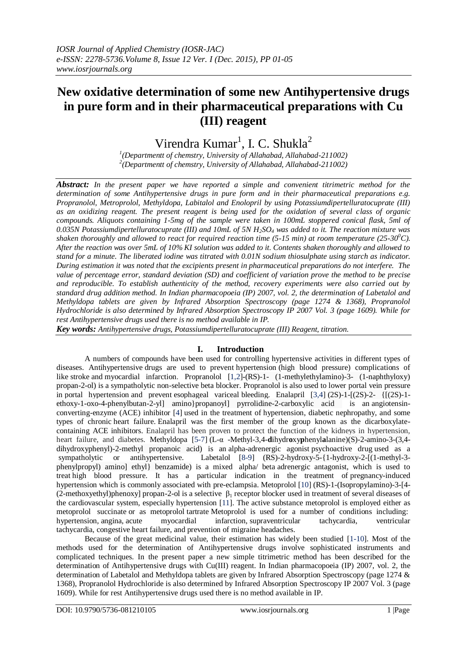# **New oxidative determination of some new Antihypertensive drugs in pure form and in their pharmaceutical preparations with Cu (III) reagent**

Virendra  $Kumar<sup>1</sup>$ , I. C. Shukla<sup>2</sup>

*1 (Departmentt of chemstry, University of Allahabad, Allahabad-211002) 2 (Departmentt of chemstry, University of Allahabad, Allahabad-211002)*

*Abstract: In the present paper we have reported a simple and convenient titrimetric method for the determination of some Antihypertensive drugs in pure form and in their pharmaceutical preparations e.g. Propranolol, Metroprolol, Methyldopa, Labitalol and Enolopril by using Potassiumdipertelluratocuprate (III) as an oxidizing reagent. The present reagent is being used for the oxidation of several class of organic compounds. Aliquots containing 1-5mg of the sample were taken in 100mL stoppered conical flask, 5ml of 0.035N Potassiumdipertelluratocuprate (III) and 10mL of 5N H2SO<sup>4</sup> was added to it. The reaction mixture was shaken thoroughly and allowed to react for required reaction time (5-15 min) at room temperature (25-30<sup>0</sup>C). After the reaction was over 5mL of 10% KI solution was added to it. Contents shaken thoroughly and allowed to stand for a minute. The liberated iodine was titrated with 0.01N sodium thiosulphate using starch as indicator. During estimation it was noted that the excipients present in pharmaceutical preparations do not interfere. The value of percentage error, standard deviation (SD) and coefficient of variation prove the method to be precise and reproducible. To establish authenticity of the method, recovery experiments were also carried out by standard drug addition method. In Indian pharmacopoeia (IP) 2007, vol. 2, the determination of Labetalol and Methyldopa tablets are given by Infrared Absorption Spectroscopy (page 1274 & 1368), Propranolol Hydrochloride is also determined by Infrared Absorption Spectroscopy IP 2007 Vol. 3 (page 1609). While for rest Antihypertensive drugs used there is no method available in IP.*

*Key words: Antihypertensive drugs, Potassiumdipertelluratocuprate (III) Reagent, titration.*

# **I. Introduction**

A numbers of compounds have been used for controlling hypertensive activities in different types of diseases. Antihypertensive drugs are used to prevent hypertension (high blood pressure) complications of like stroke and myocardial infarction. Propranolol [1,2]**-**(RS)-1- (1-methylethylamino)-3- (1-naphthyloxy) propan-2-ol) is a sympatholytic non-selective beta blocker. Propranolol is also used to lower portal vein pressure in portal hypertension and prevent esophageal variceal bleeding. Enalapril [3,4] (2S)-1-[(2S)-2- {[(2S)-1 ethoxy-1-oxo-4-phenylbutan-2-yl] amino}propanoyl] pyrrolidine-2-carboxylic acid is an angiotensinconverting-enzyme (ACE) inhibitor [4] used in the treatment of hypertension, diabetic nephropathy, and some types of chronic heart failure. Enalapril was the first member of the group known as the dicarboxylatecontaining ACE inhibitors. Enalapril has been proven to protect the function of the kidneys in hypertension, heart failure, and diabetes. Methyldopa [5-7] (L-α -Methyl-3,4-**d**ihydr**o**xy**p**henyl**a**lanine)(S)-2-amino-3-(3,4 dihydroxyphenyl)-2-methyl propanoic acid) is an alpha-adrenergic agonist psychoactive drug used as a sympatholytic or antihypertensive. Labetalol [8-9] (RS)-2-hydroxy-5-{1-hydroxy-2-[(1-methyl-3 phenylpropyl) amino] ethyl} benzamide) is a mixed alpha/ beta adrenergic antagonist, which is used to treat high blood pressure. It has a particular indication in the treatment of pregnancy-induced hypertension which is commonly associated with pre-eclampsia. Metoprolol [10] (RS)-1-(Isopropylamino)-3-[4- (2-methoxyethyl)phenoxy] propan-2-ol is a selective  $\beta_1$  receptor blocker used in treatment of several diseases of the cardiovascular system, especially hypertension [11]. The active substance metoprolol is employed either as metoprolol succinate or as metoprolol tartrate Metoprolol is used for a number of conditions including: hypertension, angina, acute myocardial infarction, supraventricular tachycardia, ventricular tachycardia, congestive heart failure, and prevention of migraine headaches.

Because of the great medicinal value, their estimation has widely been studied [1-10]. Most of the methods used for the determination of Antihypertensive drugs involve sophisticated instruments and complicated techniques. In the present paper a new simple titrimetric method has been described for the determination of Antihypertensive drugs with Cu(III) reagent. In Indian pharmacopoeia (IP) 2007, vol. 2, the determination of Labetalol and Methyldopa tablets are given by Infrared Absorption Spectroscopy (page 1274 & 1368), Propranolol Hydrochloride is also determined by Infrared Absorption Spectroscopy IP 2007 Vol. 3 (page 1609). While for rest Antihypertensive drugs used there is no method available in IP.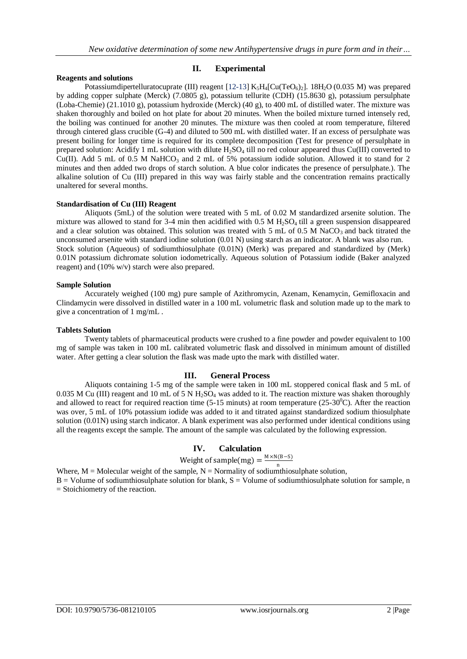# **Reagents and solutions**

# **II. Experimental**

Potassiumdipertelluratocuprate (III) reagent [12-13] K<sub>5</sub>H<sub>4</sub>[Cu(TeO<sub>6</sub>)<sub>2</sub>]. 18H<sub>2</sub>O (0.035 M) was prepared by adding copper sulphate (Merck) (7.0805 g), potassium tellurite (CDH) (15.8630 g), potassium persulphate (Loba-Chemie) (21.1010 g), potassium hydroxide (Merck) (40 g), to 400 mL of distilled water. The mixture was shaken thoroughly and boiled on hot plate for about 20 minutes. When the boiled mixture turned intensely red, the boiling was continued for another 20 minutes. The mixture was then cooled at room temperature, filtered through cintered glass crucible (G-4) and diluted to 500 mL with distilled water. If an excess of persulphate was present boiling for longer time is required for its complete decomposition (Test for presence of persulphate in prepared solution: Acidify 1 mL solution with dilute H<sub>2</sub>SO<sub>4</sub> till no red colour appeared thus Cu(III) converted to Cu(II). Add 5 mL of 0.5 M NaHCO<sub>3</sub> and 2 mL of 5% potassium iodide solution. Allowed it to stand for 2 minutes and then added two drops of starch solution. A blue color indicates the presence of persulphate.). The alkaline solution of Cu (III) prepared in this way was fairly stable and the concentration remains practically unaltered for several months.

# **Standardisation of Cu (III) Reagent**

Aliquots (5mL) of the solution were treated with 5 mL of 0.02 M standardized arsenite solution. The mixture was allowed to stand for 3-4 min then acidified with  $0.5$  M H<sub>2</sub>SO<sub>4</sub> till a green suspension disappeared and a clear solution was obtained. This solution was treated with 5 mL of 0.5 M NaCO<sub>3</sub> and back titrated the unconsumed arsenite with standard iodine solution (0.01 N) using starch as an indicator. A blank was also run. Stock solution (Aqueous) of sodiumthiosulphate (0.01N) (Merk) was prepared and standardized by (Merk) 0.01N potassium dichromate solution iodometrically. Aqueous solution of Potassium iodide (Baker analyzed reagent) and (10% w/v) starch were also prepared.

# **Sample Solution**

Accurately weighed (100 mg) pure sample of Azithromycin, Azenam, Kenamycin, Gemifloxacin and Clindamycin were dissolved in distilled water in a 100 mL volumetric flask and solution made up to the mark to give a concentration of 1 mg/mL .

# **Tablets Solution**

Twenty tablets of pharmaceutical products were crushed to a fine powder and powder equivalent to 100 mg of sample was taken in 100 mL calibrated volumetric flask and dissolved in minimum amount of distilled water. After getting a clear solution the flask was made upto the mark with distilled water.

# **III. General Process**

Aliquots containing 1-5 mg of the sample were taken in 100 mL stoppered conical flask and 5 mL of 0.035 M Cu (III) reagent and 10 mL of 5 N  $H_2SO_4$  was added to it. The reaction mixture was shaken thoroughly and allowed to react for required reaction time  $(5-15 \text{ minutes})$  at room temperature  $(25-30^{\circ}\text{C})$ . After the reaction was over, 5 mL of 10% potassium iodide was added to it and titrated against standardized sodium thiosulphate solution (0.01N) using starch indicator. A blank experiment was also performed under identical conditions using all the reagents except the sample. The amount of the sample was calculated by the following expression.

# **IV. Calculation**

Weight of sample(mg) =  $\frac{M \times N(B-S)}{n}$ 

Where,  $M = M$ olecular weight of the sample,  $N = N$ ormality of sodiumthiosulphate solution,  $B =$  Volume of sodiumthiosulphate solution for blank,  $S =$  Volume of sodiumthiosulphate solution for sample, n = Stoichiometry of the reaction.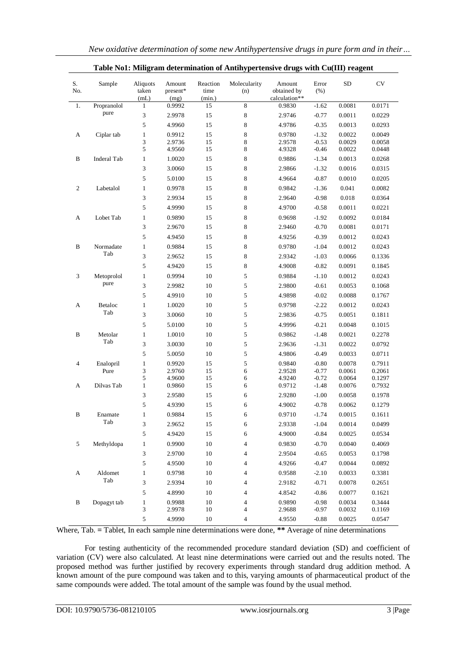| S.<br>No.      | Sample      | Aliquots<br>taken    | Amount<br>present* | Reaction<br>time | Molecularity<br>(n) | Amount<br>obtained by   | Error<br>(% ) | SD     | <b>CV</b> |
|----------------|-------------|----------------------|--------------------|------------------|---------------------|-------------------------|---------------|--------|-----------|
| 1.             | Propranolol | (mL)<br>$\mathbf{1}$ | (mg)<br>0.9992     | (min.)<br>15     | 8                   | calculation**<br>0.9830 | $-1.62$       | 0.0081 | 0.0171    |
|                | pure        | 3                    | 2.9978             | 15               | 8                   | 2.9746                  | $-0.77$       | 0.0011 | 0.0229    |
|                |             | 5                    | 4.9960             | 15               | 8                   | 4.9786                  | $-0.35$       | 0.0013 | 0.0293    |
| A              | Ciplar tab  | $\mathbf{1}$         | 0.9912             | 15               | 8                   | 0.9780                  | $-1.32$       | 0.0022 | 0.0049    |
|                |             | 3                    | 2.9736             | 15               | 8                   | 2.9578                  | $-0.53$       | 0.0029 | 0.0058    |
|                |             | 5                    | 4.9560             | 15               | 8                   | 4.9328                  | $-0.46$       | 0.0022 | 0.0448    |
| B              | Inderal Tab | $\mathbf{1}$         | 1.0020             | 15               | 8                   | 0.9886                  | $-1.34$       | 0.0013 | 0.0268    |
|                |             | 3                    | 3.0060             | 15               | 8                   | 2.9866                  | $-1.32$       | 0.0016 | 0.0315    |
|                |             | 5                    | 5.0100             | 15               | 8                   | 4.9664                  | $-0.87$       | 0.0010 | 0.0205    |
| 2              | Labetalol   | $\mathbf{1}$         | 0.9978             | 15               | 8                   | 0.9842                  | $-1.36$       | 0.041  | 0.0082    |
|                |             | 3                    | 2.9934             | 15               | 8                   | 2.9640                  | $-0.98$       | 0.018  | 0.0364    |
|                |             | 5                    | 4.9990             | 15               | 8                   | 4.9700                  | $-0.58$       | 0.0011 | 0.0221    |
| A              | Lobet Tab   | $\mathbf{1}$         | 0.9890             | 15               | 8                   | 0.9698                  | $-1.92$       | 0.0092 | 0.0184    |
|                |             | 3                    | 2.9670             | 15               | 8                   | 2.9460                  | $-0.70$       | 0.0081 | 0.0171    |
|                |             | 5                    | 4.9450             | 15               | 8                   | 4.9256                  | $-0.39$       | 0.0012 | 0.0243    |
| B              | Normadate   | $\mathbf{1}$         | 0.9884             | 15               | 8                   | 0.9780                  | $-1.04$       | 0.0012 | 0.0243    |
|                | Tab         | 3                    | 2.9652             | 15               | 8                   | 2.9342                  | $-1.03$       | 0.0066 | 0.1336    |
|                |             | 5                    | 4.9420             | 15               | 8                   | 4.9008                  | $-0.82$       | 0.0091 | 0.1845    |
| 3              | Metoprolol  | 1                    | 0.9994             | 10               | 5                   | 0.9884                  | $-1.10$       | 0.0012 | 0.0243    |
|                | pure        | 3                    | 2.9982             | 10               | 5                   | 2.9800                  | $-0.61$       | 0.0053 | 0.1068    |
|                |             | 5                    | 4.9910             | 10               | 5                   | 4.9898                  | $-0.02$       | 0.0088 | 0.1767    |
| A              | Betaloc     | $\mathbf{1}$         | 1.0020             | 10               | 5                   | 0.9798                  | $-2.22$       | 0.0012 | 0.0243    |
|                | Tab         | 3                    | 3.0060             | 10               | 5                   | 2.9836                  | $-0.75$       | 0.0051 | 0.1811    |
|                |             | 5                    | 5.0100             | 10               | 5                   | 4.9996                  | $-0.21$       | 0.0048 | 0.1015    |
| В              | Metolar     | $\mathbf{1}$         | 1.0010             | 10               | 5                   | 0.9862                  | $-1.48$       | 0.0021 | 0.2278    |
|                | Tab         | 3                    | 3.0030             | 10               | 5                   | 2.9636                  | $-1.31$       | 0.0022 | 0.0792    |
|                |             | 5                    | 5.0050             | 10               | 5                   | 4.9806                  | $-0.49$       | 0.0033 | 0.0711    |
| $\overline{4}$ | Enalopril   | $\mathbf{1}$         | 0.9920             | 15               | 5                   | 0.9840                  | $-0.80$       | 0.0078 | 0.7911    |
|                | Pure        | 3                    | 2.9760             | 15               | 6                   | 2.9528                  | $-0.77$       | 0.0061 | 0.2061    |
|                |             | 5                    | 4.9600             | 15               | 6                   | 4.9240                  | $-0.72$       | 0.0064 | 0.1297    |
| A              | Dilvas Tab  | $\mathbf{1}$         | 0.9860             | 15               | 6                   | 0.9712                  | $-1.48$       | 0.0076 | 0.7932    |
|                |             | 3                    | 2.9580             | 15               | 6                   | 2.9280                  | $-1.00$       | 0.0058 | 0.1978    |
|                |             | 5                    | 4.9390             | 15               | 6                   | 4.9002                  | $-0.78$       | 0.0062 | 0.1279    |
| B              | Enamate     | $\mathbf{1}$         | 0.9884             | 15               | 6                   | 0.9710                  | $-1.74$       | 0.0015 | 0.1611    |
|                | Tab         | 3                    | 2.9652             | 15               | 6                   | 2.9338                  | $-1.04$       | 0.0014 | 0.0499    |
|                |             | 5                    | 4.9420             | 15               | 6                   | 4.9000                  | $-0.84$       | 0.0025 | 0.0534    |
| 5              | Methyldopa  | $\mathbf{1}$         | 0.9900             | $10\,$           | 4                   | 0.9830                  | $-0.70$       | 0.0040 | 0.4069    |
|                |             | 3                    | 2.9700             | 10               | 4                   | 2.9504                  | $-0.65$       | 0.0053 | 0.1798    |
|                |             | 5                    | 4.9500             | 10               | 4                   | 4.9266                  | $-0.47$       | 0.0044 | 0.0892    |
| А              | Aldomet     | $\mathbf{1}$         | 0.9798             | 10               | 4                   | 0.9588                  | $-2.10$       | 0.0033 | 0.3381    |
|                | Tab         | 3                    | 2.9394             | 10               | 4                   | 2.9182                  | $-0.71$       | 0.0078 | 0.2651    |
|                |             | 5                    | 4.8990             | 10               | 4                   | 4.8542                  | $-0.86$       | 0.0077 | 0.1621    |
| B              | Dopagyt tab | $\mathbf{1}$         | 0.9988             | 10               | 4                   | 0.9890                  | $-0.98$       | 0.0034 | 0.3444    |
|                |             | 3                    | 2.9978             | 10               | 4                   | 2.9688                  | $-0.97$       | 0.0032 | 0.1169    |
|                |             | 5                    | 4.9990             | 10               | 4                   | 4.9550                  | $-0.88$       | 0.0025 | 0.0547    |

| Table No1: Miligram determination of Antihypertensive drugs with Cu(III) reagent |  |  |  |  |
|----------------------------------------------------------------------------------|--|--|--|--|
|----------------------------------------------------------------------------------|--|--|--|--|

Where, Tab. **=** Tablet, In each sample nine determinations were done, **\*\*** Average of nine determinations

For testing authenticity of the recommended procedure standard deviation (SD) and coefficient of variation (CV) were also calculated. At least nine determinations were carried out and the results noted. The proposed method was further justified by recovery experiments through standard drug addition method. A known amount of the pure compound was taken and to this, varying amounts of pharmaceutical product of the same compounds were added. The total amount of the sample was found by the usual method.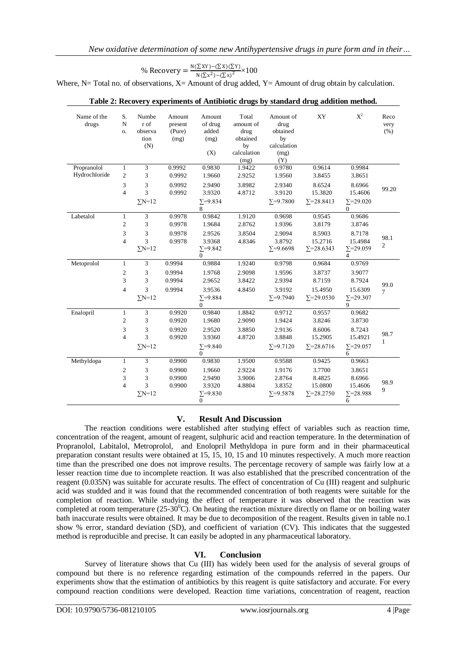% Recovery = 
$$
\frac{\mathsf{N}(\Sigma \mathsf{X}\mathsf{Y}) - (\Sigma \mathsf{X})(\Sigma \mathsf{Y})}{\mathsf{N}(\Sigma \mathsf{X}^2) - (\Sigma \mathsf{X})^2} \times 100
$$

Where, N= Total no. of observations,  $X=$  Amount of drug added,  $Y=$  Amount of drug obtain by calculation.

| Name of the<br>drugs | S.<br>$\mathbf N$<br>Ο. | Numbe<br>r of<br>observa<br>tion<br>(N) | Amount<br>present<br>(Pure)<br>(mg) | Amount<br>of drug<br>added<br>(mg)<br>(X) | Total<br>amount of<br>drug<br>obtained<br>by<br>calculation | Amount of<br>drug<br>obtained<br>by<br>calculation<br>(mg) | XY                 | $X^2$                         | Reco<br>very<br>(% )   |
|----------------------|-------------------------|-----------------------------------------|-------------------------------------|-------------------------------------------|-------------------------------------------------------------|------------------------------------------------------------|--------------------|-------------------------------|------------------------|
| Propranolol          | $\mathbf{1}$            | 3                                       | 0.9992                              | 0.9830                                    | (mg)<br>1.9422                                              | (Y)<br>0.9780                                              | 0.9614             | 0.9984                        |                        |
| Hydrochloride        | $\overline{c}$          | 3                                       | 0.9992                              | 1.9660                                    | 2.9252                                                      | 1.9560                                                     | 3.8455             | 3.8651                        |                        |
|                      |                         |                                         |                                     |                                           |                                                             |                                                            |                    |                               |                        |
|                      | 3<br>$\overline{4}$     | 3<br>3                                  | 0.9992                              | 2.9490                                    | 3.8982                                                      | 2.9340                                                     | 8.6524             | 8.6966                        | 99.20                  |
|                      |                         |                                         | 0.9992                              | 3.9320                                    | 4.8712                                                      | 3.9120                                                     | 15.3820            | 15.4606                       |                        |
|                      |                         | $\Sigma N=12$                           |                                     | $\Sigma = 9.834$<br>8                     |                                                             | $\Sigma = 9.7800$                                          | $\Sigma = 28.8413$ | $\Sigma = 29.020$<br>$\theta$ |                        |
| Labetalol            | $\mathbf{1}$            | 3                                       | 0.9978                              | 0.9842                                    | 1.9120                                                      | 0.9698                                                     | 0.9545             | 0.9686                        |                        |
|                      | $\overline{2}$          | 3                                       | 0.9978                              | 1.9684                                    | 2.8762                                                      | 1.9396                                                     | 3.8179             | 3.8746                        |                        |
|                      | 3                       | 3                                       | 0.9978                              | 2.9526                                    | 3.8504                                                      | 2.9094                                                     | 8.5903             | 8.7178                        |                        |
|                      | $\overline{4}$          | 3                                       | 0.9978                              | 3.9368                                    | 4.8346                                                      | 3.8792                                                     | 15.2716            | 15.4984                       | 98.1<br>$\overline{2}$ |
|                      |                         | $\Sigma$ N=12                           |                                     | $\Sigma = 9.842$<br>$\Omega$              |                                                             | $\Sigma = 9.6698$                                          | $\Sigma = 28.6343$ | $\Sigma = 29.059$<br>4        |                        |
| Metoprolol           | $\mathbf{1}$            | 3                                       | 0.9994                              | 0.9884                                    | 1.9240                                                      | 0.9798                                                     | 0.9684             | 0.9769                        |                        |
|                      | $\mathfrak{2}$          | 3                                       | 0.9994                              | 1.9768                                    | 2.9098                                                      | 1.9596                                                     | 3.8737             | 3.9077                        |                        |
|                      | 3                       | 3                                       | 0.9994                              | 2.9652                                    | 3.8422                                                      | 2.9394                                                     | 8.7159             | 8.7924                        | 99.0<br>$\tau$         |
|                      | $\overline{4}$          | 3                                       | 0.9994                              | 3.9536                                    | 4.8450                                                      | 3.9192                                                     | 15.4950            | 15.6309                       |                        |
|                      |                         | $\Sigma N=12$                           |                                     | $\Sigma = 9.884$<br>$\mathbf{0}$          |                                                             | $\Sigma = 9.7940$                                          | $\Sigma = 29.0530$ | $\Sigma = 29.307$<br>9        |                        |
| Enalopril            | $\mathbf{1}$            | 3                                       | 0.9920                              | 0.9840                                    | 1.8842                                                      | 0.9712                                                     | 0.9557             | 0.9682                        |                        |
|                      | $\overline{2}$          | 3                                       | 0.9920                              | 1.9680                                    | 2.9090                                                      | 1.9424                                                     | 3.8246             | 3.8730                        |                        |
|                      | 3                       | 3                                       | 0.9920                              | 2.9520                                    | 3.8850                                                      | 2.9136                                                     | 8.6006             | 8.7243                        |                        |
|                      | $\overline{4}$          | 3                                       | 0.9920                              | 3.9360                                    | 4.8720                                                      | 3.8848                                                     | 15.2905            | 15.4921                       | 98.7<br>$\mathbf{1}$   |
|                      |                         | $\Sigma$ N=12                           |                                     | $\Sigma = 9.840$<br>$\mathbf{0}$          |                                                             | $\Sigma = 9.7120$                                          | $\Sigma = 28.6716$ | $\Sigma = 29.057$<br>6        |                        |
| Methyldopa           | $\mathbf{1}$            | 3                                       | 0.9900                              | 0.9830                                    | 1.9500                                                      | 0.9588                                                     | 0.9425             | 0.9663                        |                        |
|                      | 2                       | 3                                       | 0.9900                              | 1.9660                                    | 2.9224                                                      | 1.9176                                                     | 3.7700             | 3.8651                        |                        |
|                      | 3                       | 3                                       | 0.9900                              | 2.9490                                    | 3.9006                                                      | 2.8764                                                     | 8.4825             | 8.6966                        |                        |
|                      | $\overline{4}$          | 3                                       | 0.9900                              | 3.9320                                    | 4.8804                                                      | 3.8352                                                     | 15.0800            | 15.4606                       | 98.9<br>9              |
|                      |                         | $\Sigma$ N=12                           |                                     | $\Sigma = 9.830$<br>$\mathbf{0}$          |                                                             | $\Sigma = 9.5878$                                          | $\Sigma = 28.2750$ | $\Sigma = 28.988$<br>6        |                        |

#### **Table 2: Recovery experiments of Antibiotic drugs by standard drug addition method.**

# **V. Result And Discussion**

The reaction conditions were established after studying effect of variables such as reaction time, concentration of the reagent, amount of reagent, sulphuric acid and reaction temperature. In the determination of Propranolol, Labitalol, Metroprolol, and Enolopril Methyldopa in pure form and in their pharmaceutical preparation constant results were obtained at 15, 15, 10, 15 and 10 minutes respectively. A much more reaction time than the prescribed one does not improve results. The percentage recovery of sample was fairly low at a lesser reaction time due to incomplete reaction. It was also established that the prescribed concentration of the reagent (0.035N) was suitable for accurate results. The effect of concentration of Cu (III) reagent and sulphuric acid was studded and it was found that the recommended concentration of both reagents were suitable for the completion of reaction. While studying the effect of temperature it was observed that the reaction was completed at room temperature  $(25-30^0C)$ . On heating the reaction mixture directly on flame or on boiling water bath inaccurate results were obtained. It may be due to decomposition of the reagent. Results given in table no.1 show % error, standard deviation (SD), and coefficient of variation (CV). This indicates that the suggested method is reproducible and precise. It can easily be adopted in any pharmaceutical laboratory.

# **VI. Conclusion**

Survey of literature shows that Cu (III) has widely been used for the analysis of several groups of compound but there is no reference regarding estimation of the compounds referred in the papers. Our experiments show that the estimation of antibiotics by this reagent is quite satisfactory and accurate. For every compound reaction conditions were developed. Reaction time variations, concentration of reagent, reaction